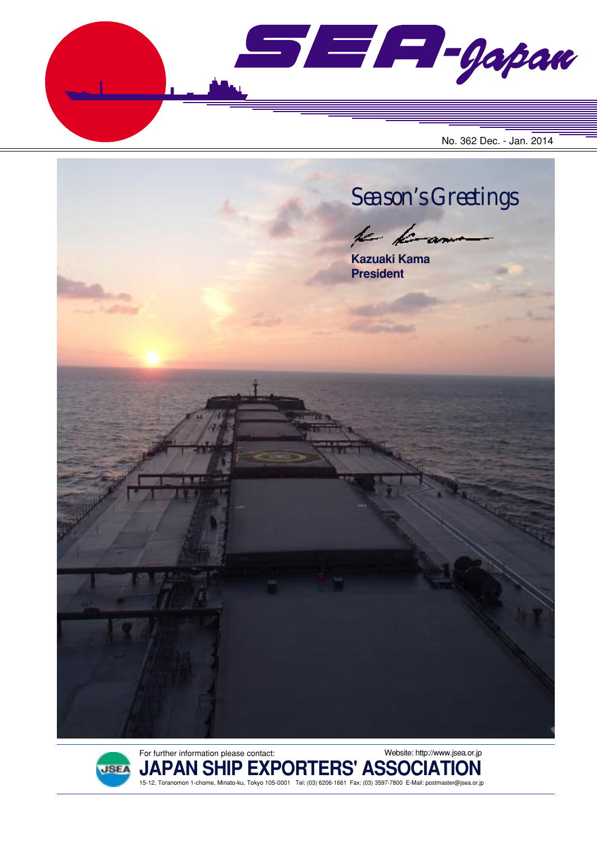$\blacksquare$  $\blacksquare$  $\blacksquare$  $\blacksquare$ No. 362 Dec. - Jan. 2014





**JAPAN SHIP EXPORTERS' ASSOCIATION** 15-12, Toranomon 1-chome, Minato-ku, Tokyo 105-0001 Tel: (03) 6206-1661 Fax: (03) 3597-7800 E-Mail: postmaster@jsea.or.jp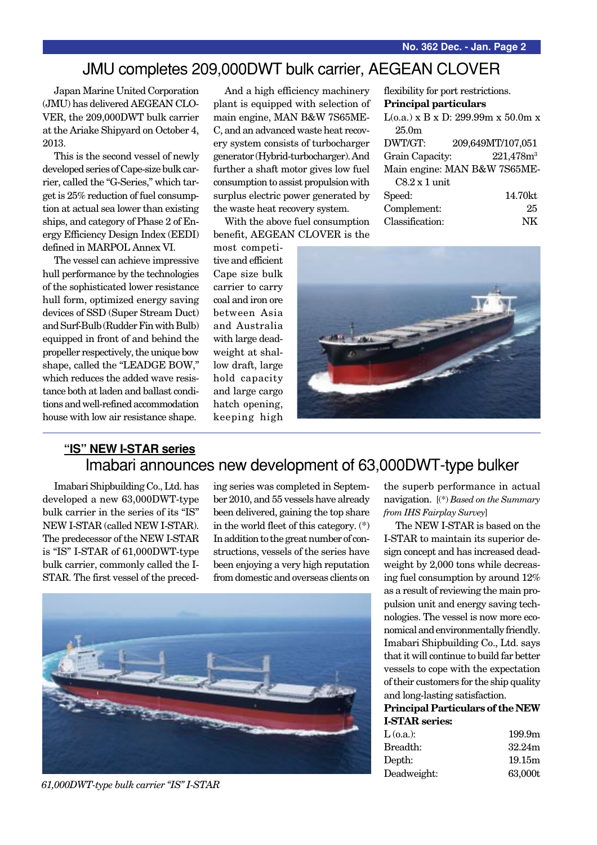### JMU completes 209,000DWT bulk carrier, AEGEAN CLOVER

Japan Marine United Corporation (JMU) has delivered AEGEAN CLO-VER, the 209,000DWT bulk carrier at the Ariake Shipyard on October 4, 2013.

This is the second vessel of newly developed series of Cape-size bulk carrier, called the "G-Series," which target is 25% reduction of fuel consumption at actual sea lower than existing ships, and category of Phase 2 of Energy Efficiency Design Index (EEDI) defined in MARPOL Annex VI.

The vessel can achieve impressive hull performance by the technologies of the sophisticated lower resistance hull form, optimized energy saving devices of SSD (Super Stream Duct) and Surf-Bulb (Rudder Fin with Bulb) equipped in front of and behind the propeller respectively, the unique bow shape, called the "LEADGE BOW," which reduces the added wave resistance both at laden and ballast conditions and well-refined accommodation house with low air resistance shape.

And a high efficiency machinery plant is equipped with selection of main engine, MAN B&W 7S65ME-C, and an advanced waste heat recovery system consists of turbocharger generator (Hybrid-turbocharger). And further a shaft motor gives low fuel consumption to assist propulsion with surplus electric power generated by the waste heat recovery system.

With the above fuel consumption benefit, AEGEAN CLOVER is the

most competitive and efficient Cape size bulk carrier to carry coal and iron ore between Asia and Australia with large deadweight at shallow draft, large hold capacity and large cargo hatch opening, keeping high

flexibility for port restrictions. **Principal particulars**  $L(o.a.)$  x B x D: 299.99m x 50.0m x 25.0m DWT/GT: 209,649MT/107,051 Grain Capacity:  $221,478m<sup>3</sup>$ Main engine: MAN B&W 7S65ME-C8.2 x 1 unit Speed: 14.70kt Complement: 25

Classification: NK



### **"IS" NEW I-STAR series** Imabari announces new development of 63,000DWT-type bulker

Imabari Shipbuilding Co., Ltd. has developed a new 63,000DWT-type bulk carrier in the series of its "IS" NEW I-STAR (called NEW I-STAR). The predecessor of the NEW I-STAR is "IS" I-STAR of 61,000DWT-type bulk carrier, commonly called the I-STAR. The first vessel of the preceding series was completed in September 2010, and 55 vessels have already been delivered, gaining the top share in the world fleet of this category. (\*) In addition to the great number of constructions, vessels of the series have been enjoying a very high reputation from domestic and overseas clients on



*61,000DWT-type bulk carrier "IS" I-STAR*

the superb performance in actual navigation. [(\*) *Based on the Summary from IHS Fairplay Survey*]

The NEW I-STAR is based on the I-STAR to maintain its superior design concept and has increased deadweight by 2,000 tons while decreasing fuel consumption by around 12% as a result of reviewing the main propulsion unit and energy saving technologies. The vessel is now more economical and environmentally friendly. Imabari Shipbuilding Co., Ltd. says that it will continue to build far better vessels to cope with the expectation of their customers for the ship quality and long-lasting satisfaction.

#### **Principal Particulars of the NEW I-STAR series:**

| 199.9 <sub>m</sub> |
|--------------------|
| 32.24m             |
| 19.15m             |
| 63,000t            |
|                    |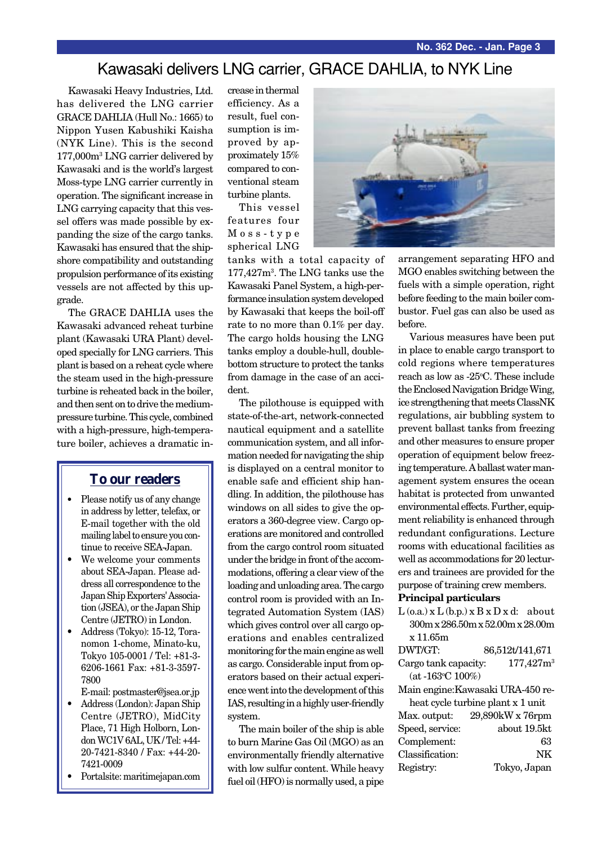## Kawasaki delivers LNG carrier, GRACE DAHLIA, to NYK Line

Kawasaki Heavy Industries, Ltd. has delivered the LNG carrier GRACE DAHLIA (Hull No.: 1665) to Nippon Yusen Kabushiki Kaisha (NYK Line). This is the second 177,000m3 LNG carrier delivered by Kawasaki and is the world's largest Moss-type LNG carrier currently in operation. The significant increase in LNG carrying capacity that this vessel offers was made possible by expanding the size of the cargo tanks. Kawasaki has ensured that the shipshore compatibility and outstanding propulsion performance of its existing vessels are not affected by this upgrade.

The GRACE DAHLIA uses the Kawasaki advanced reheat turbine plant (Kawasaki URA Plant) developed specially for LNG carriers. This plant is based on a reheat cycle where the steam used in the high-pressure turbine is reheated back in the boiler, and then sent on to drive the mediumpressure turbine. This cycle, combined with a high-pressure, high-temperature boiler, achieves a dramatic in-

### **To our readers**

- Please notify us of any change in address by letter, telefax, or E-mail together with the old mailing label to ensure you continue to receive SEA-Japan.
- We welcome your comments about SEA-Japan. Please address all correspondence to the Japan Ship Exporters' Association (JSEA), or the Japan Ship Centre (JETRO) in London.
- Address (Tokyo): 15-12, Toranomon 1-chome, Minato-ku, Tokyo 105-0001 / Tel: +81-3- 6206-1661 Fax: +81-3-3597- 7800
- E-mail: postmaster@jsea.or.jp
- Address (London): Japan Ship Centre (JETRO), MidCity Place, 71 High Holborn, London WC1V 6AL, UK / Tel: +44- 20-7421-8340 / Fax: +44-20- 7421-0009
- Portalsite: maritimejapan.com

crease in thermal efficiency. As a result, fuel consumption is improved by approximately 15% compared to conventional steam turbine plants.

This vessel features four Moss-type spherical LNG

tanks with a total capacity of 177,427m3 . The LNG tanks use the Kawasaki Panel System, a high-performance insulation system developed by Kawasaki that keeps the boil-off rate to no more than 0.1% per day. The cargo holds housing the LNG tanks employ a double-hull, doublebottom structure to protect the tanks from damage in the case of an accident.

The pilothouse is equipped with state-of-the-art, network-connected nautical equipment and a satellite communication system, and all information needed for navigating the ship is displayed on a central monitor to enable safe and efficient ship handling. In addition, the pilothouse has windows on all sides to give the operators a 360-degree view. Cargo operations are monitored and controlled from the cargo control room situated under the bridge in front of the accommodations, offering a clear view of the loading and unloading area. The cargo control room is provided with an Integrated Automation System (IAS) which gives control over all cargo operations and enables centralized monitoring for the main engine as well as cargo. Considerable input from operators based on their actual experience went into the development of this IAS, resulting in a highly user-friendly system.

The main boiler of the ship is able to burn Marine Gas Oil (MGO) as an environmentally friendly alternative with low sulfur content. While heavy fuel oil (HFO) is normally used, a pipe



arrangement separating HFO and MGO enables switching between the fuels with a simple operation, right before feeding to the main boiler combustor. Fuel gas can also be used as before.

Various measures have been put in place to enable cargo transport to cold regions where temperatures reach as low as -25°C. These include the Enclosed Navigation Bridge Wing, ice strengthening that meets ClassNK regulations, air bubbling system to prevent ballast tanks from freezing and other measures to ensure proper operation of equipment below freezing temperature. A ballast water management system ensures the ocean habitat is protected from unwanted environmental effects. Further, equipment reliability is enhanced through redundant configurations. Lecture rooms with educational facilities as well as accommodations for 20 lecturers and trainees are provided for the purpose of training crew members.

#### **Principal particulars**

 $L$  (o.a.) x  $L$  (b.p.) x  $B$  x  $D$  x d: about 300m x 286.50m x 52.00m x 28.00m x 11.65m

| DWT/GT:              | 86,512t/141,671 |
|----------------------|-----------------|
| Cargo tank capacity: | $177,427m^3$    |
| $(at -163°C 100%)$   |                 |

Main engine:Kawasaki URA-450 reheat cycle turbine plant x 1 unit Max. output: 29,890kW x 76rpm Speed, service: about 19.5kt Complement: 63 Classification: NK Registry: Tokyo, Japan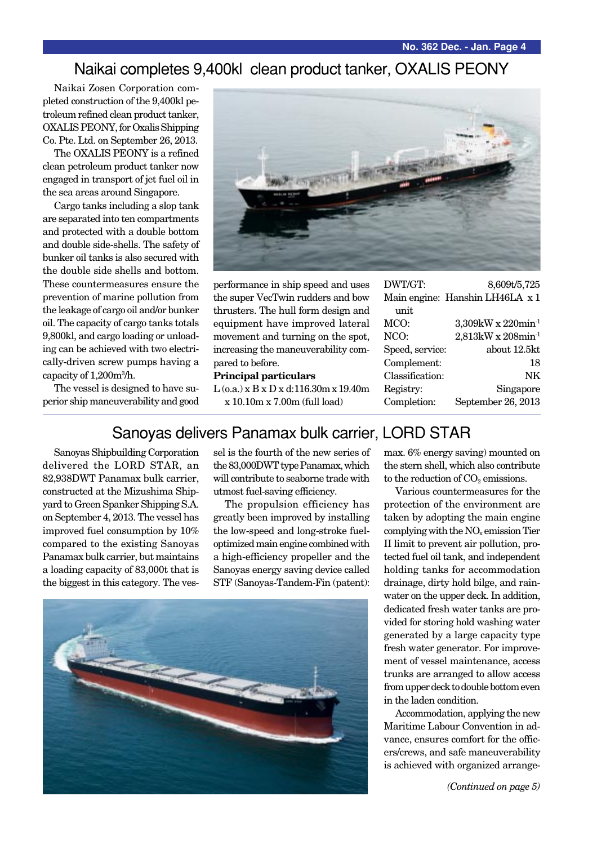### Naikai completes 9,400kl clean product tanker, OXALIS PEONY

Naikai Zosen Corporation completed construction of the 9,400kl petroleum refined clean product tanker, OXALIS PEONY, for Oxalis Shipping Co. Pte. Ltd. on September 26, 2013.

The OXALIS PEONY is a refined clean petroleum product tanker now engaged in transport of jet fuel oil in the sea areas around Singapore.

Cargo tanks including a slop tank are separated into ten compartments and protected with a double bottom and double side-shells. The safety of bunker oil tanks is also secured with the double side shells and bottom. These countermeasures ensure the prevention of marine pollution from the leakage of cargo oil and/or bunker oil. The capacity of cargo tanks totals 9,800kl, and cargo loading or unloading can be achieved with two electrically-driven screw pumps having a capacity of 1,200m3 /h.

The vessel is designed to have superior ship maneuverability and good



performance in ship speed and uses the super VecTwin rudders and bow thrusters. The hull form design and equipment have improved lateral movement and turning on the spot, increasing the maneuverability compared to before.

#### **Principal particulars**

L (o.a.) x B x D x d:116.30m x 19.40m x 10.10m x 7.00m (full load)

| DWT/GT:         | 8,609t/5,725                    |
|-----------------|---------------------------------|
|                 | Main engine: Hanshin LH46LA x 1 |
| unit            |                                 |
| MCO:            | 3,309kW x 220min <sup>-1</sup>  |
| NCO:            | 2,813kW x 208min <sup>-1</sup>  |
| Speed, service: | about 12.5kt                    |
| Complement:     | 18                              |
| Classification: | NK                              |
| Registry:       | Singapore                       |
| Completion:     | September 26, 2013              |
|                 |                                 |

### Sanoyas delivers Panamax bulk carrier, LORD STAR

Sanoyas Shipbuilding Corporation delivered the LORD STAR, an 82,938DWT Panamax bulk carrier, constructed at the Mizushima Shipyard to Green Spanker Shipping S.A. on September 4, 2013. The vessel has improved fuel consumption by 10% compared to the existing Sanoyas Panamax bulk carrier, but maintains a loading capacity of 83,000t that is the biggest in this category. The vessel is the fourth of the new series of the 83,000DWT type Panamax, which will contribute to seaborne trade with utmost fuel-saving efficiency.

The propulsion efficiency has greatly been improved by installing the low-speed and long-stroke fueloptimized main engine combined with a high-efficiency propeller and the Sanoyas energy saving device called STF (Sanoyas-Tandem-Fin (patent):



max. 6% energy saving) mounted on the stern shell, which also contribute to the reduction of  $CO<sub>2</sub>$  emissions.

Various countermeasures for the protection of the environment are taken by adopting the main engine complying with the  $NO<sub>x</sub>$  emission Tier II limit to prevent air pollution, protected fuel oil tank, and independent holding tanks for accommodation drainage, dirty hold bilge, and rainwater on the upper deck. In addition, dedicated fresh water tanks are provided for storing hold washing water generated by a large capacity type fresh water generator. For improvement of vessel maintenance, access trunks are arranged to allow access from upper deck to double bottom even in the laden condition.

Accommodation, applying the new Maritime Labour Convention in advance, ensures comfort for the officers/crews, and safe maneuverability is achieved with organized arrange-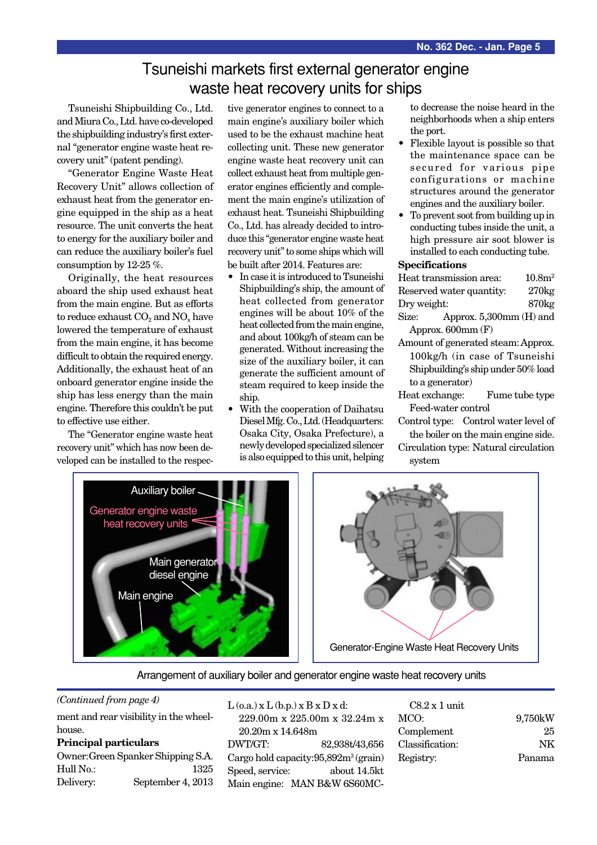## Tsuneishi markets first external generator engine waste heat recovery units for ships

Tsuneishi Shipbuilding Co., Ltd. and Miura Co., Ltd. have co-developed the shipbuilding industry's first external "generator engine waste heat recovery unit" (patent pending).

"Generator Engine Waste Heat Recovery Unit" allows collection of exhaust heat from the generator engine equipped in the ship as a heat resource. The unit converts the heat to energy for the auxiliary boiler and can reduce the auxiliary boiler's fuel consumption by 12-25 %.

Originally, the heat resources aboard the ship used exhaust heat from the main engine. But as efforts to reduce exhaust  $CO<sub>2</sub>$  and  $NO<sub>x</sub>$  have lowered the temperature of exhaust from the main engine, it has become difficult to obtain the required energy. Additionally, the exhaust heat of an onboard generator engine inside the ship has less energy than the main engine. Therefore this couldn't be put to effective use either.

The "Generator engine waste heat recovery unit" which has now been developed can be installed to the respective generator engines to connect to a main engine's auxiliary boiler which used to be the exhaust machine heat collecting unit. These new generator engine waste heat recovery unit can collect exhaust heat from multiple generator engines efficiently and complement the main engine's utilization of exhaust heat. Tsuneishi Shipbuilding Co., Ltd. has already decided to introduce this "generator engine waste heat recovery unit" to some ships which will be built after 2014. Features are:

- In case it is introduced to Tsuneishi Shipbuilding's ship, the amount of heat collected from generator engines will be about 10% of the heat collected from the main engine, and about 100kg/h of steam can be generated. Without increasing the size of the auxiliary boiler, it can generate the sufficient amount of steam required to keep inside the ship.
- With the cooperation of Daihatsu Diesel Mfg. Co., Ltd. (Headquarters: Osaka City, Osaka Prefecture), a newly developed specialized silencer is also equipped to this unit, helping

to decrease the noise heard in the neighborhoods when a ship enters the port.

- Flexible layout is possible so that the maintenance space can be secured for various pipe configurations or machine structures around the generator engines and the auxiliary boiler.
- To prevent soot from building up in conducting tubes inside the unit, a high pressure air soot blower is installed to each conducting tube.

#### **Specifications**

|             | Heat transmission area:      | 10.8m <sup>2</sup> |
|-------------|------------------------------|--------------------|
|             | Reserved water quantity:     | 270kg              |
| Dry weight: |                              | 870 <sub>kg</sub>  |
| Size:       | Approx. $5,300$ mm $(H)$ and |                    |
|             | Approx. $600$ mm $(F)$       |                    |

- Amount of generated steam:Approx. 100kg/h (in case of Tsuneishi Shipbuilding's ship under 50% load to a generator)
- Heat exchange: Fume tube type Feed-water control

Control type: Control water level of the boiler on the main engine side.

Circulation type: Natural circulation system





Arrangement of auxiliary boiler and generator engine waste heat recovery units

#### *(Continued from page 4)*

ment and rear visibility in the wheelhouse.

#### **Principal particulars**

Owner:Green Spanker Shipping S.A. Hull No.: 1325 Delivery: September 4, 2013

## $L$  (o.a.)  $x L$  (b.p.)  $x B x D x d$ :

229.00m x 225.00m x 32.24m x 20.20m x 14.648m DWT/GT: 82,938t/43,656 Cargo hold capacity: 95,892m<sup>3</sup> (grain) Speed, service: about 14.5kt Main engine: MAN B&W 6S60MC-

| $C8.2 \times 1$ unit |         |
|----------------------|---------|
| MCO:                 | 9,750kW |
| Complement           | 25      |
| Classification:      | NK      |
| Registry:            | Panama  |